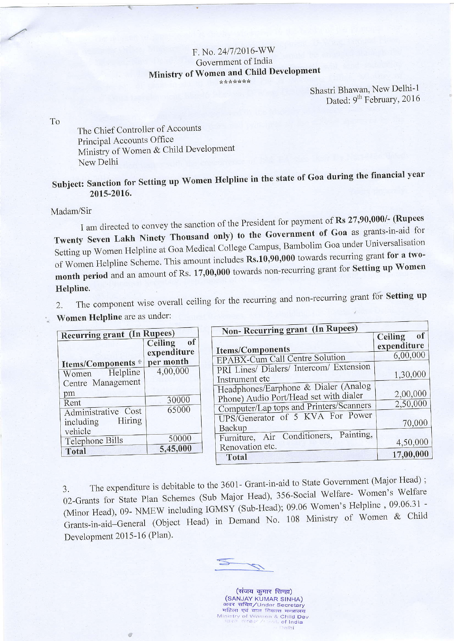## F. No. 24/7/2016-WW Government of India Ministry of Women and Child Development \*\*\*\*\*\*\*

Shastri Bhawan, New Delhi-1 Dated: 9<sup>th</sup> February, 2016

To

The Chief Controller of Accounts Principal Accounts Office Ministry of Women & Child Development New Delhi

 $\mathcal Q$ 

## Subject: Sanction for Setting up Women Helpline in the state of Goa during the financial year 2015-2016.

Madam/Sir

I am directed to convey the sanction of the President for payment of Rs 27,90,000/- (Rupees Twenty Seven Lakh Ninety Thousand only) to the Government of Goa as grants-in-aid for Setting up Women Helpline at Goa Medical College Campus, Bambolim Goa under Universalisation of Women Helpline Scheme. This amount includes Rs.10,90,000 towards recurring grant for a twomonth period and an amount of Rs. 17,00,000 towards non-recurring grant for Setting up Women Helpline.

The component wise overall ceiling for the recurring and non-recurring grant for Setting up  $\overline{2}$ . Women Helpline are as under:

| <b>Recurring grant (In Rupees)</b>         |                          | <b>Non-Recurring grant (In Rupees)</b>                                            |                                     |
|--------------------------------------------|--------------------------|-----------------------------------------------------------------------------------|-------------------------------------|
|                                            | of<br><b>Ceiling</b>     | <b>Items/Components</b>                                                           | of<br><b>Ceiling</b><br>expenditure |
|                                            | expenditure<br>per month | EPABX-Cum Call Centre Solution                                                    | 6,00,000                            |
| Items/Components ®<br>Helpline<br>Women    | 4,00,000                 | PRI Lines/ Dialers/ Intercom/ Extension                                           | 1,30,000                            |
| Centre Management<br>pm                    |                          | Instrument etc<br>Headphones/Earphone & Dialer (Analog                            | 2,00,000                            |
| Rent                                       | 30000<br>65000           | Phone) Audio Port/Head set with dialer<br>Computer/Lap tops and Printers/Scanners | 2,50,000                            |
| Administrative Cost<br>Hiring<br>including |                          | UPS/Generator of 5 KVA For Power<br>Backup                                        | 70,000                              |
| vehicle<br>Telephone Bills                 | 50000                    | Painting,<br>Furniture, Air Conditioners,<br>Renovation etc.                      | 4,50,000                            |
| Total                                      | 5,45,000                 | Total                                                                             | 17,00,000                           |

The expenditure is debitable to the 3601- Grant-in-aid to State Government (Major Head); 3. 02-Grants for State Plan Schemes (Sub Major Head), 356-Social Welfare- Women's Welfare (Minor Head), 09- NMEW including IGMSY (Sub-Head); 09.06 Women's Helpline, 09.06.31 -Grants-in-aid-General (Object Head) in Demand No. 108 Ministry of Women & Child Development 2015-16 (Plan).

(संजय कुमार सिन्हा) (SANJAY KUMAR SINHA) अवर सचिव/Under Secretary<br>महिला एवं बाल विकास मन्त्रालय Ministry of Women & Child Dev  $\sigma_{\rm eff,1}$ of India elhi